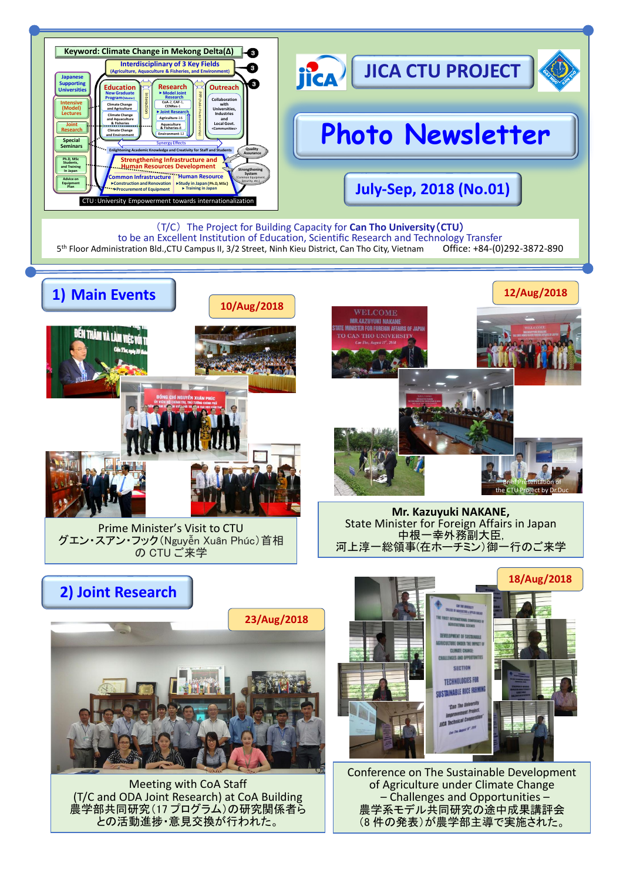